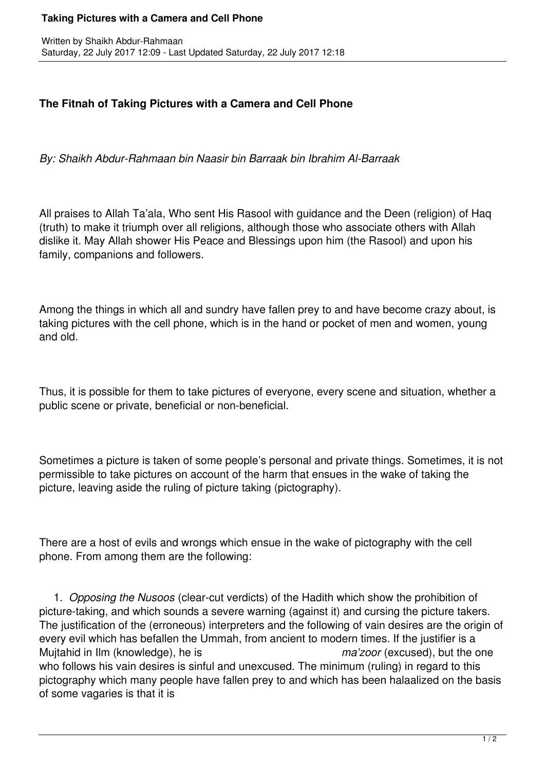## **The Fitnah of Taking Pictures with a Camera and Cell Phone**

*By: Shaikh Abdur-Rahmaan bin Naasir bin Barraak bin Ibrahim Al-Barraak*

All praises to Allah Ta'ala, Who sent His Rasool with guidance and the Deen (religion) of Haq (truth) to make it triumph over all religions, although those who associate others with Allah dislike it. May Allah shower His Peace and Blessings upon him (the Rasool) and upon his family, companions and followers.

Among the things in which all and sundry have fallen prey to and have become crazy about, is taking pictures with the cell phone, which is in the hand or pocket of men and women, young and old.

Thus, it is possible for them to take pictures of everyone, every scene and situation, whether a public scene or private, beneficial or non-beneficial.

Sometimes a picture is taken of some people's personal and private things. Sometimes, it is not permissible to take pictures on account of the harm that ensues in the wake of taking the picture, leaving aside the ruling of picture taking (pictography).

There are a host of evils and wrongs which ensue in the wake of pictography with the cell phone. From among them are the following:

 1. *Opposing the Nusoos* (clear-cut verdicts) of the Hadith which show the prohibition of picture-taking, and which sounds a severe warning (against it) and cursing the picture takers. The justification of the (erroneous) interpreters and the following of vain desires are the origin of every evil which has befallen the Ummah, from ancient to modern times. If the justifier is a Mujtahid in Ilm (knowledge), he is *ma'zoor* (excused), but the one who follows his vain desires is sinful and unexcused. The minimum (ruling) in regard to this pictography which many people have fallen prey to and which has been halaalized on the basis of some vagaries is that it is